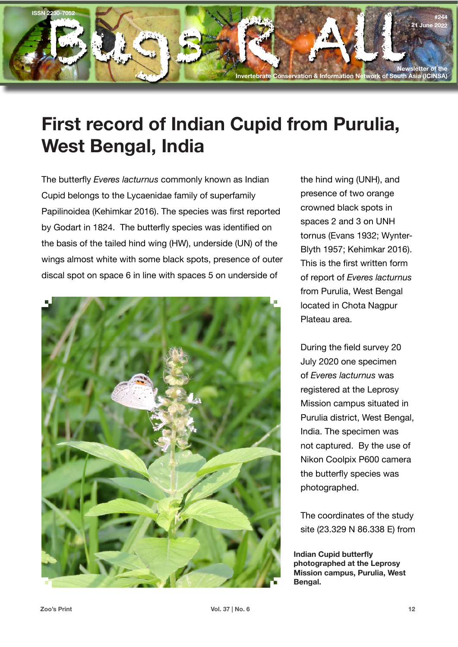

## **First record of Indian Cupid from Purulia, West Bengal, India**

The butterfly *Everes lacturnus* commonly known as Indian Cupid belongs to the Lycaenidae family of superfamily Papilinoidea (Kehimkar 2016). The species was first reported by Godart in 1824. The butterfly species was identified on the basis of the tailed hind wing (HW), underside (UN) of the wings almost white with some black spots, presence of outer discal spot on space 6 in line with spaces 5 on underside of



the hind wing (UNH), and presence of two orange crowned black spots in spaces 2 and 3 on UNH tornus (Evans 1932; Wynter-Blyth 1957; Kehimkar 2016). This is the first written form of report of *Everes lacturnus*  from Purulia, West Bengal located in Chota Nagpur Plateau area.

During the field survey 20 July 2020 one specimen of *Everes lacturnus* was registered at the Leprosy Mission campus situated in Purulia district, West Bengal, India. The specimen was not captured. By the use of Nikon Coolpix P600 camera the butterfly species was photographed.

The coordinates of the study site (23.329 N 86.338 E) from

**Indian Cupid butterfly photographed at the Leprosy Mission campus, Purulia, West Bengal.**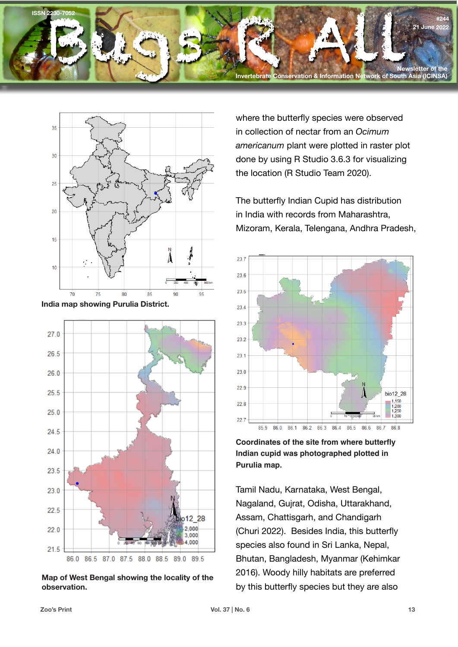



**India map showing Purulia District.**



**Map of West Bengal showing the locality of the observation.**

where the butterfly species were observed in collection of nectar from an *Ocimum americanum* plant were plotted in raster plot done by using R Studio 3.6.3 for visualizing the location (R Studio Team 2020).

The butterfly Indian Cupid has distribution in India with records from Maharashtra, Mizoram, Kerala, Telengana, Andhra Pradesh,



**Coordinates of the site from where butterfly Indian cupid was photographed plotted in Purulia map.**

Tamil Nadu, Karnataka, West Bengal, Nagaland, Gujrat, Odisha, Uttarakhand, Assam, Chattisgarh, and Chandigarh (Churi 2022). Besides India, this butterfly species also found in Sri Lanka, Nepal, Bhutan, Bangladesh, Myanmar (Kehimkar 2016). Woody hilly habitats are preferred by this butterfly species but they are also